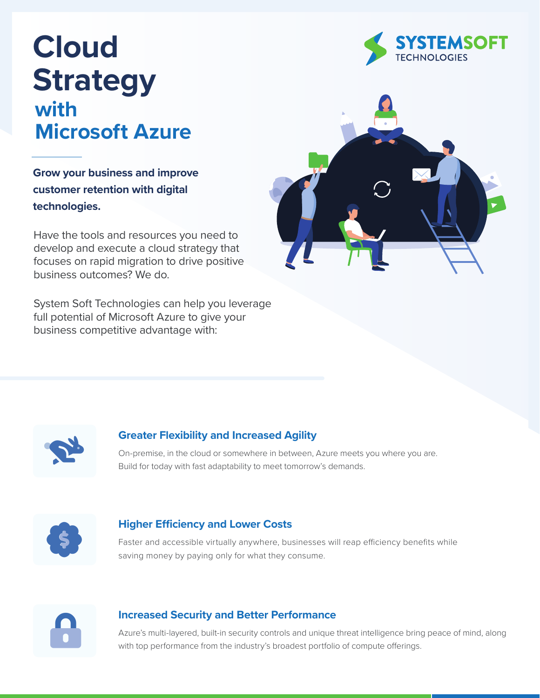# **Cloud Strategy with Microsoft Azure**

**Grow your business and improve customer retention with digital technologies.**

Have the tools and resources you need to develop and execute a cloud strategy that focuses on rapid migration to drive positive business outcomes? We do.

System Soft Technologies can help you leverage full potential of Microsoft Azure to give your business competitive advantage with:







# **Greater Flexibility and Increased Agility**

On-premise, in the cloud or somewhere in between, Azure meets you where you are. Build for today with fast adaptability to meet tomorrow's demands.



### **Higher Efficiency and Lower Costs**

Faster and accessible virtually anywhere, businesses will reap efficiency benefits while saving money by paying only for what they consume.



#### **Increased Security and Better Performance**

Azure's multi-layered, built-in security controls and unique threat intelligence bring peace of mind, along with top performance from the industry's broadest portfolio of compute offerings.